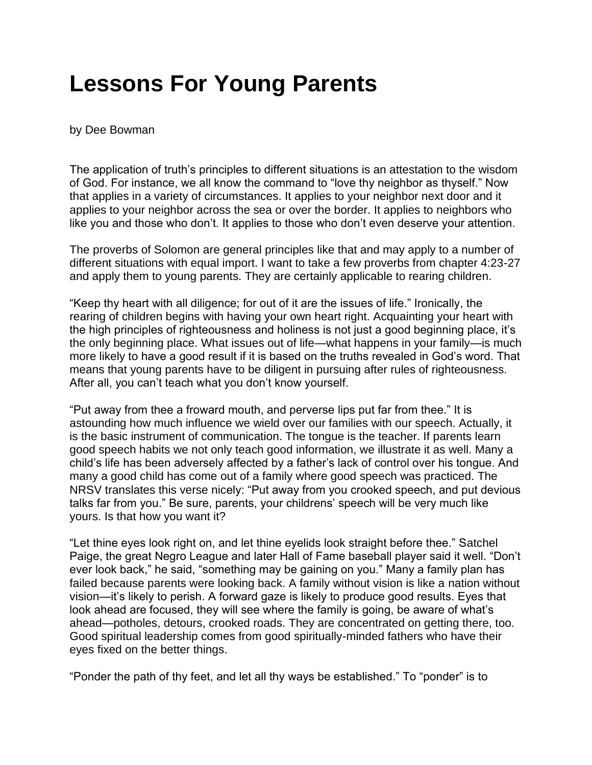## **Lessons For Young Parents**

## by Dee Bowman

The application of truth's principles to different situations is an attestation to the wisdom of God. For instance, we all know the command to "love thy neighbor as thyself." Now that applies in a variety of circumstances. It applies to your neighbor next door and it applies to your neighbor across the sea or over the border. It applies to neighbors who like you and those who don't. It applies to those who don't even deserve your attention.

The proverbs of Solomon are general principles like that and may apply to a number of different situations with equal import. I want to take a few proverbs from chapter 4:23-27 and apply them to young parents. They are certainly applicable to rearing children.

"Keep thy heart with all diligence; for out of it are the issues of life." Ironically, the rearing of children begins with having your own heart right. Acquainting your heart with the high principles of righteousness and holiness is not just a good beginning place, it's the only beginning place. What issues out of life—what happens in your family—is much more likely to have a good result if it is based on the truths revealed in God's word. That means that young parents have to be diligent in pursuing after rules of righteousness. After all, you can't teach what you don't know yourself.

"Put away from thee a froward mouth, and perverse lips put far from thee." It is astounding how much influence we wield over our families with our speech. Actually, it is the basic instrument of communication. The tongue is the teacher. If parents learn good speech habits we not only teach good information, we illustrate it as well. Many a child's life has been adversely affected by a father's lack of control over his tongue. And many a good child has come out of a family where good speech was practiced. The NRSV translates this verse nicely: "Put away from you crooked speech, and put devious talks far from you." Be sure, parents, your childrens' speech will be very much like yours. Is that how you want it?

"Let thine eyes look right on, and let thine eyelids look straight before thee." Satchel Paige, the great Negro League and later Hall of Fame baseball player said it well. "Don't ever look back," he said, "something may be gaining on you." Many a family plan has failed because parents were looking back. A family without vision is like a nation without vision—it's likely to perish. A forward gaze is likely to produce good results. Eyes that look ahead are focused, they will see where the family is going, be aware of what's ahead—potholes, detours, crooked roads. They are concentrated on getting there, too. Good spiritual leadership comes from good spiritually-minded fathers who have their eyes fixed on the better things.

"Ponder the path of thy feet, and let all thy ways be established." To "ponder" is to